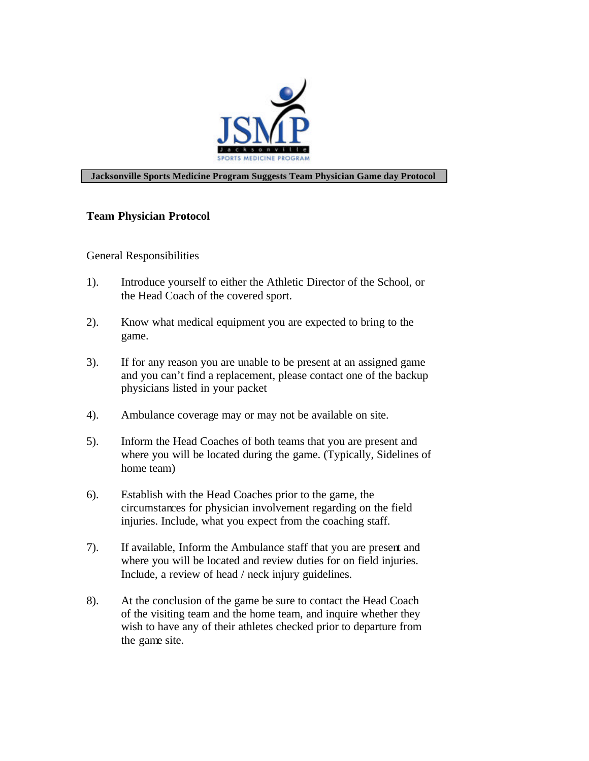

## **Jacksonville Sports Medicine Program Suggests Team Physician Game day Protocol**

## **Team Physician Protocol**

## General Responsibilities

- 1). Introduce yourself to either the Athletic Director of the School, or the Head Coach of the covered sport.
- 2). Know what medical equipment you are expected to bring to the game.
- 3). If for any reason you are unable to be present at an assigned game and you can't find a replacement, please contact one of the backup physicians listed in your packet
- 4). Ambulance coverage may or may not be available on site.
- 5). Inform the Head Coaches of both teams that you are present and where you will be located during the game. (Typically, Sidelines of home team)
- 6). Establish with the Head Coaches prior to the game, the circumstances for physician involvement regarding on the field injuries. Include, what you expect from the coaching staff.
- 7). If available, Inform the Ambulance staff that you are present and where you will be located and review duties for on field injuries. Include, a review of head / neck injury guidelines.
- 8). At the conclusion of the game be sure to contact the Head Coach of the visiting team and the home team, and inquire whether they wish to have any of their athletes checked prior to departure from the game site.